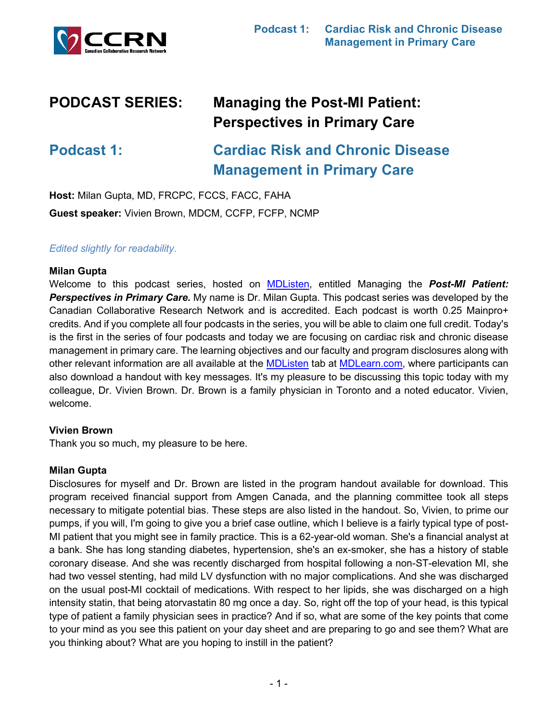

# **PODCAST SERIES: Managing the Post-MI Patient: Perspectives in Primary Care**

**Podcast 1: Cardiac Risk and Chronic Disease Management in Primary Care**

**Host:** Milan Gupta, MD, FRCPC, FCCS, FACC, FAHA **Guest speaker:** Vivien Brown, MDCM, CCFP, FCFP, NCMP

## *Edited slightly for readability.*

#### **Milan Gupta**

Welcome to this podcast series, hosted on [MDListen,](https://open.spotify.com/show/5W5NxVKiWdW77tzl3zPaap) entitled Managing the *Post-MI Patient: Perspectives in Primary Care.* My name is Dr. Milan Gupta. This podcast series was developed by the Canadian Collaborative Research Network and is accredited. Each podcast is worth 0.25 Mainpro+ credits. And if you complete all four podcasts in the series, you will be able to claim one full credit. Today's is the first in the series of four podcasts and today we are focusing on cardiac risk and chronic disease management in primary care. The learning objectives and our faculty and program disclosures along with other relevant information are all available at the **MDListen** tab at **MDLearn.com**, where participants can also download a handout with key messages. It's my pleasure to be discussing this topic today with my colleague, Dr. Vivien Brown. Dr. Brown is a family physician in Toronto and a noted educator. Vivien, welcome.

#### **Vivien Brown**

Thank you so much, my pleasure to be here.

#### **Milan Gupta**

Disclosures for myself and Dr. Brown are listed in the program handout available for download. This program received financial support from Amgen Canada, and the planning committee took all steps necessary to mitigate potential bias. These steps are also listed in the handout. So, Vivien, to prime our pumps, if you will, I'm going to give you a brief case outline, which I believe is a fairly typical type of post-MI patient that you might see in family practice. This is a 62-year-old woman. She's a financial analyst at a bank. She has long standing diabetes, hypertension, she's an ex-smoker, she has a history of stable coronary disease. And she was recently discharged from hospital following a non-ST-elevation MI, she had two vessel stenting, had mild LV dysfunction with no major complications. And she was discharged on the usual post-MI cocktail of medications. With respect to her lipids, she was discharged on a high intensity statin, that being atorvastatin 80 mg once a day. So, right off the top of your head, is this typical type of patient a family physician sees in practice? And if so, what are some of the key points that come to your mind as you see this patient on your day sheet and are preparing to go and see them? What are you thinking about? What are you hoping to instill in the patient?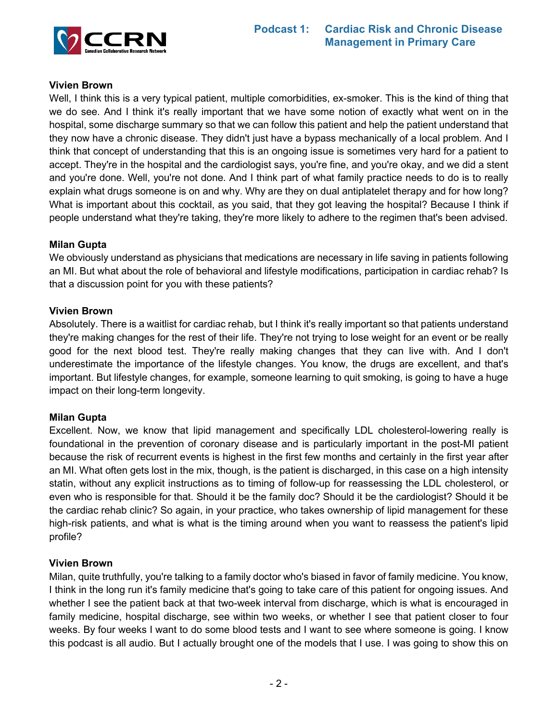# **Vivien Brown**

Well, I think this is a very typical patient, multiple comorbidities, ex-smoker. This is the kind of thing that we do see. And I think it's really important that we have some notion of exactly what went on in the hospital, some discharge summary so that we can follow this patient and help the patient understand that they now have a chronic disease. They didn't just have a bypass mechanically of a local problem. And I think that concept of understanding that this is an ongoing issue is sometimes very hard for a patient to accept. They're in the hospital and the cardiologist says, you're fine, and you're okay, and we did a stent and you're done. Well, you're not done. And I think part of what family practice needs to do is to really explain what drugs someone is on and why. Why are they on dual antiplatelet therapy and for how long? What is important about this cocktail, as you said, that they got leaving the hospital? Because I think if people understand what they're taking, they're more likely to adhere to the regimen that's been advised.

#### **Milan Gupta**

We obviously understand as physicians that medications are necessary in life saving in patients following an MI. But what about the role of behavioral and lifestyle modifications, participation in cardiac rehab? Is that a discussion point for you with these patients?

#### **Vivien Brown**

Absolutely. There is a waitlist for cardiac rehab, but I think it's really important so that patients understand they're making changes for the rest of their life. They're not trying to lose weight for an event or be really good for the next blood test. They're really making changes that they can live with. And I don't underestimate the importance of the lifestyle changes. You know, the drugs are excellent, and that's important. But lifestyle changes, for example, someone learning to quit smoking, is going to have a huge impact on their long-term longevity.

# **Milan Gupta**

Excellent. Now, we know that lipid management and specifically LDL cholesterol-lowering really is foundational in the prevention of coronary disease and is particularly important in the post-MI patient because the risk of recurrent events is highest in the first few months and certainly in the first year after an MI. What often gets lost in the mix, though, is the patient is discharged, in this case on a high intensity statin, without any explicit instructions as to timing of follow-up for reassessing the LDL cholesterol, or even who is responsible for that. Should it be the family doc? Should it be the cardiologist? Should it be the cardiac rehab clinic? So again, in your practice, who takes ownership of lipid management for these high-risk patients, and what is what is the timing around when you want to reassess the patient's lipid profile?

#### **Vivien Brown**

Milan, quite truthfully, you're talking to a family doctor who's biased in favor of family medicine. You know, I think in the long run it's family medicine that's going to take care of this patient for ongoing issues. And whether I see the patient back at that two-week interval from discharge, which is what is encouraged in family medicine, hospital discharge, see within two weeks, or whether I see that patient closer to four weeks. By four weeks I want to do some blood tests and I want to see where someone is going. I know this podcast is all audio. But I actually brought one of the models that I use. I was going to show this on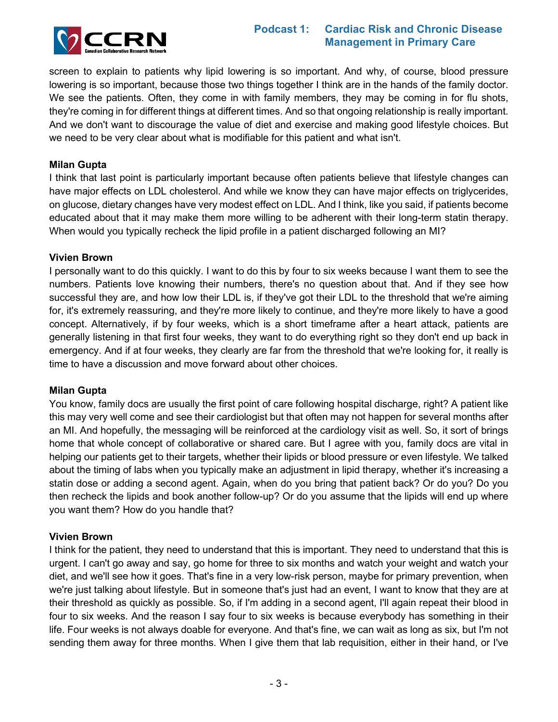

# **Podcast 1: Cardiac Risk and Chronic Disease Management in Primary Care**

screen to explain to patients why lipid lowering is so important. And why, of course, blood pressure lowering is so important, because those two things together I think are in the hands of the family doctor. We see the patients. Often, they come in with family members, they may be coming in for flu shots, they're coming in for different things at different times. And so that ongoing relationship is really important. And we don't want to discourage the value of diet and exercise and making good lifestyle choices. But we need to be very clear about what is modifiable for this patient and what isn't.

## **Milan Gupta**

I think that last point is particularly important because often patients believe that lifestyle changes can have major effects on LDL cholesterol. And while we know they can have major effects on triglycerides, on glucose, dietary changes have very modest effect on LDL. And I think, like you said, if patients become educated about that it may make them more willing to be adherent with their long-term statin therapy. When would you typically recheck the lipid profile in a patient discharged following an MI?

#### **Vivien Brown**

I personally want to do this quickly. I want to do this by four to six weeks because I want them to see the numbers. Patients love knowing their numbers, there's no question about that. And if they see how successful they are, and how low their LDL is, if they've got their LDL to the threshold that we're aiming for, it's extremely reassuring, and they're more likely to continue, and they're more likely to have a good concept. Alternatively, if by four weeks, which is a short timeframe after a heart attack, patients are generally listening in that first four weeks, they want to do everything right so they don't end up back in emergency. And if at four weeks, they clearly are far from the threshold that we're looking for, it really is time to have a discussion and move forward about other choices.

#### **Milan Gupta**

You know, family docs are usually the first point of care following hospital discharge, right? A patient like this may very well come and see their cardiologist but that often may not happen for several months after an MI. And hopefully, the messaging will be reinforced at the cardiology visit as well. So, it sort of brings home that whole concept of collaborative or shared care. But I agree with you, family docs are vital in helping our patients get to their targets, whether their lipids or blood pressure or even lifestyle. We talked about the timing of labs when you typically make an adjustment in lipid therapy, whether it's increasing a statin dose or adding a second agent. Again, when do you bring that patient back? Or do you? Do you then recheck the lipids and book another follow-up? Or do you assume that the lipids will end up where you want them? How do you handle that?

#### **Vivien Brown**

I think for the patient, they need to understand that this is important. They need to understand that this is urgent. I can't go away and say, go home for three to six months and watch your weight and watch your diet, and we'll see how it goes. That's fine in a very low-risk person, maybe for primary prevention, when we're just talking about lifestyle. But in someone that's just had an event, I want to know that they are at their threshold as quickly as possible. So, if I'm adding in a second agent, I'll again repeat their blood in four to six weeks. And the reason I say four to six weeks is because everybody has something in their life. Four weeks is not always doable for everyone. And that's fine, we can wait as long as six, but I'm not sending them away for three months. When I give them that lab requisition, either in their hand, or I've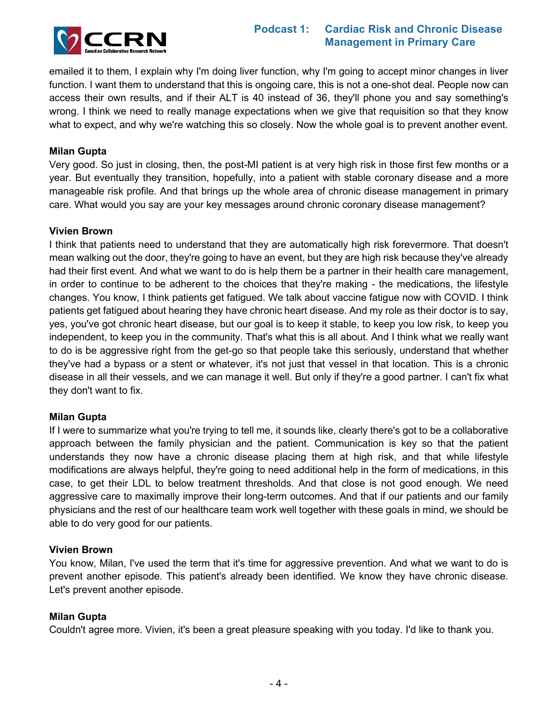

# **Podcast 1: Cardiac Risk and Chronic Disease Management in Primary Care**

emailed it to them, I explain why I'm doing liver function, why I'm going to accept minor changes in liver function. I want them to understand that this is ongoing care, this is not a one-shot deal. People now can access their own results, and if their ALT is 40 instead of 36, they'll phone you and say something's wrong. I think we need to really manage expectations when we give that requisition so that they know what to expect, and why we're watching this so closely. Now the whole goal is to prevent another event.

#### **Milan Gupta**

Very good. So just in closing, then, the post-MI patient is at very high risk in those first few months or a year. But eventually they transition, hopefully, into a patient with stable coronary disease and a more manageable risk profile. And that brings up the whole area of chronic disease management in primary care. What would you say are your key messages around chronic coronary disease management?

#### **Vivien Brown**

I think that patients need to understand that they are automatically high risk forevermore. That doesn't mean walking out the door, they're going to have an event, but they are high risk because they've already had their first event. And what we want to do is help them be a partner in their health care management, in order to continue to be adherent to the choices that they're making - the medications, the lifestyle changes. You know, I think patients get fatigued. We talk about vaccine fatigue now with COVID. I think patients get fatigued about hearing they have chronic heart disease. And my role as their doctor is to say, yes, you've got chronic heart disease, but our goal is to keep it stable, to keep you low risk, to keep you independent, to keep you in the community. That's what this is all about. And I think what we really want to do is be aggressive right from the get-go so that people take this seriously, understand that whether they've had a bypass or a stent or whatever, it's not just that vessel in that location. This is a chronic disease in all their vessels, and we can manage it well. But only if they're a good partner. I can't fix what they don't want to fix.

#### **Milan Gupta**

If I were to summarize what you're trying to tell me, it sounds like, clearly there's got to be a collaborative approach between the family physician and the patient. Communication is key so that the patient understands they now have a chronic disease placing them at high risk, and that while lifestyle modifications are always helpful, they're going to need additional help in the form of medications, in this case, to get their LDL to below treatment thresholds. And that close is not good enough. We need aggressive care to maximally improve their long-term outcomes. And that if our patients and our family physicians and the rest of our healthcare team work well together with these goals in mind, we should be able to do very good for our patients.

#### **Vivien Brown**

You know, Milan, I've used the term that it's time for aggressive prevention. And what we want to do is prevent another episode. This patient's already been identified. We know they have chronic disease. Let's prevent another episode.

#### **Milan Gupta**

Couldn't agree more. Vivien, it's been a great pleasure speaking with you today. I'd like to thank you.